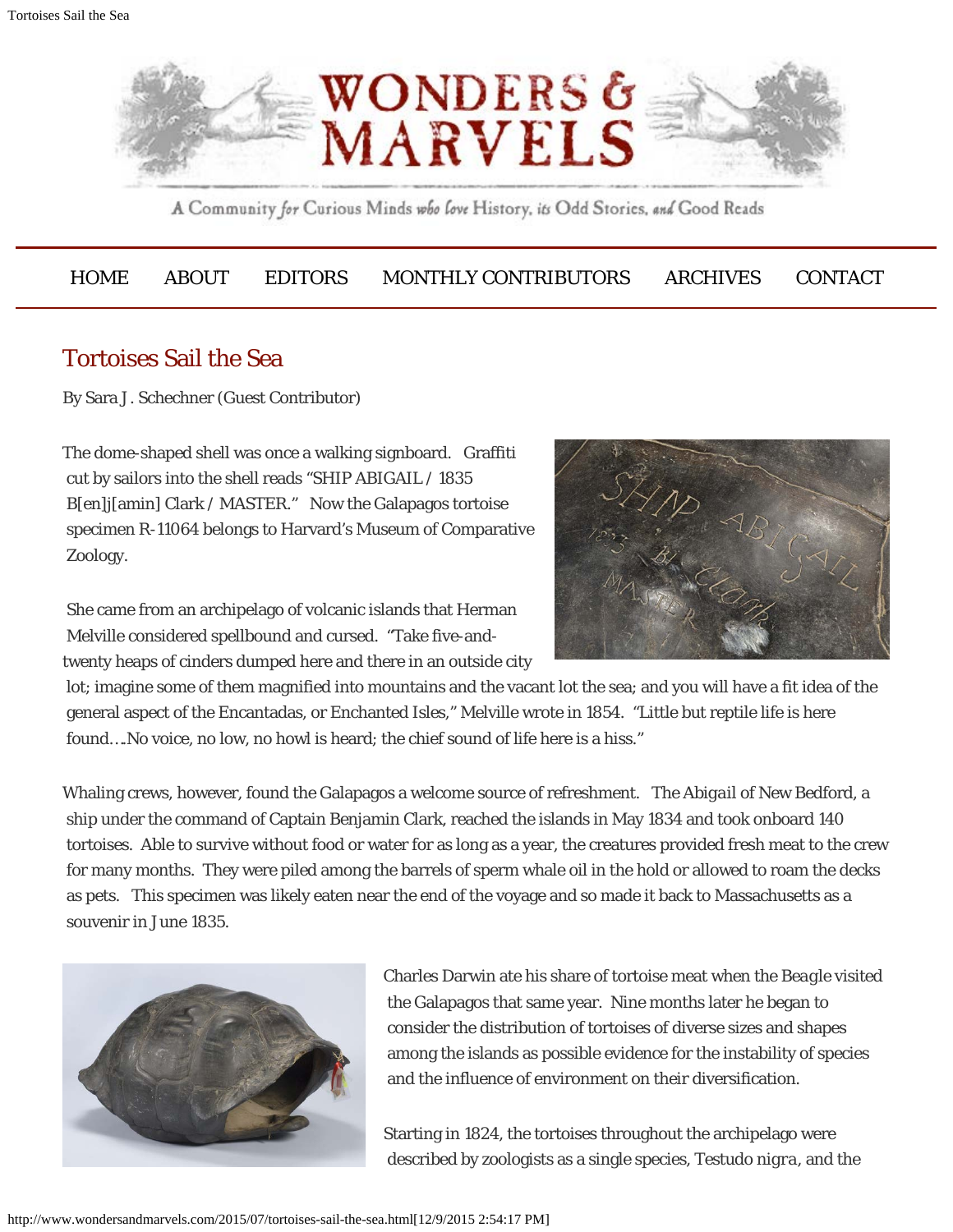

A Community for Curious Minds who love History, its Odd Stories, and Good Reads

## [HOME](http://www.wondersandmarvels.com/) [ABOUT](http://www.wondersandmarvels.com/about) [EDITORS](http://www.wondersandmarvels.com/editors) [MONTHLY CONTRIBUTORS](http://www.wondersandmarvels.com/regular-contributors) [ARCHIVES](http://www.wondersandmarvels.com/archives) [CONTACT](http://www.wondersandmarvels.com/contact-2)

## Tortoises Sail the Sea

By Sara J. Schechner (Guest Contributor)

The dome-shaped shell was once a walking signboard. Graffiti cut by sailors into the shell reads "SHIP ABIGAIL / 1835 B[en]j[amin] Clark / MASTER." Now the Galapagos tortoise specimen R-11064 belongs to Harvard's Museum of Comparative Zoology.

 She came from an archipelago of volcanic islands that Herman Melville considered spellbound and cursed. "Take five-andtwenty heaps of cinders dumped here and there in an outside city



 lot; imagine some of them magnified into mountains and the vacant lot the sea; and you will have a fit idea of the general aspect of the Encantadas, or Enchanted Isles," Melville wrote in 1854. "Little but reptile life is here found….No voice, no low, no howl is heard; the chief sound of life here is a hiss."

Whaling crews, however, found the Galapagos a welcome source of refreshment. The *Abigail* of New Bedford, a ship under the command of Captain Benjamin Clark, reached the islands in May 1834 and took onboard 140 tortoises. Able to survive without food or water for as long as a year, the creatures provided fresh meat to the crew for many months. They were piled among the barrels of sperm whale oil in the hold or allowed to roam the decks as pets. This specimen was likely eaten near the end of the voyage and so made it back to Massachusetts as a souvenir in June 1835.



Charles Darwin ate his share of tortoise meat when the *Beagle* visited the Galapagos that same year. Nine months later he began to consider the distribution of tortoises of diverse sizes and shapes among the islands as possible evidence for the instability of species and the influence of environment on their diversification.

Starting in 1824, the tortoises throughout the archipelago were described by zoologists as a single species, *Testudo nigra*, and the